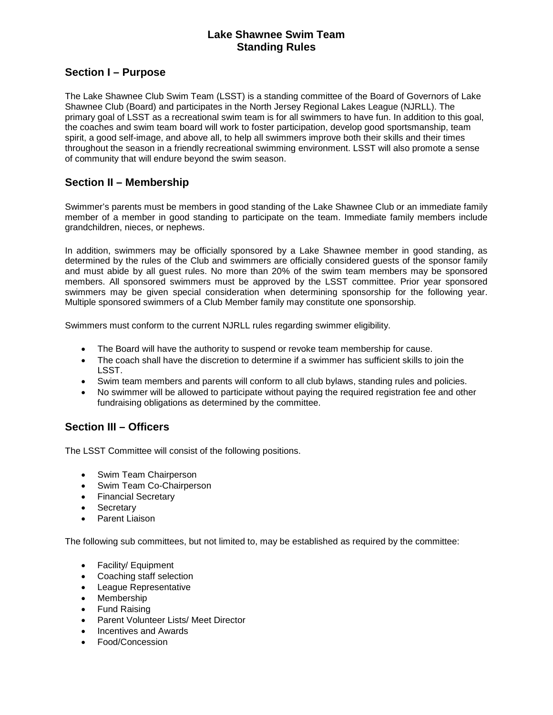## **Lake Shawnee Swim Team Standing Rules**

## **Section I – Purpose**

The Lake Shawnee Club Swim Team (LSST) is a standing committee of the Board of Governors of Lake Shawnee Club (Board) and participates in the North Jersey Regional Lakes League (NJRLL). The primary goal of LSST as a recreational swim team is for all swimmers to have fun. In addition to this goal, the coaches and swim team board will work to foster participation, develop good sportsmanship, team spirit, a good self-image, and above all, to help all swimmers improve both their skills and their times throughout the season in a friendly recreational swimming environment. LSST will also promote a sense of community that will endure beyond the swim season.

# **Section II – Membership**

Swimmer's parents must be members in good standing of the Lake Shawnee Club or an immediate family member of a member in good standing to participate on the team. Immediate family members include grandchildren, nieces, or nephews.

In addition, swimmers may be officially sponsored by a Lake Shawnee member in good standing, as determined by the rules of the Club and swimmers are officially considered guests of the sponsor family and must abide by all guest rules. No more than 20% of the swim team members may be sponsored members. All sponsored swimmers must be approved by the LSST committee. Prior year sponsored swimmers may be given special consideration when determining sponsorship for the following year. Multiple sponsored swimmers of a Club Member family may constitute one sponsorship.

Swimmers must conform to the current NJRLL rules regarding swimmer eligibility.

- The Board will have the authority to suspend or revoke team membership for cause.
- The coach shall have the discretion to determine if a swimmer has sufficient skills to join the LSST.
- Swim team members and parents will conform to all club bylaws, standing rules and policies.
- No swimmer will be allowed to participate without paying the required registration fee and other fundraising obligations as determined by the committee.

# **Section III – Officers**

The LSST Committee will consist of the following positions.

- Swim Team Chairperson
- Swim Team Co-Chairperson
- Financial Secretary
- **Secretary**
- Parent Liaison

The following sub committees, but not limited to, may be established as required by the committee:

- Facility/ Equipment
- Coaching staff selection
- League Representative
- Membership
- Fund Raising
- Parent Volunteer Lists/ Meet Director
- Incentives and Awards
- Food/Concession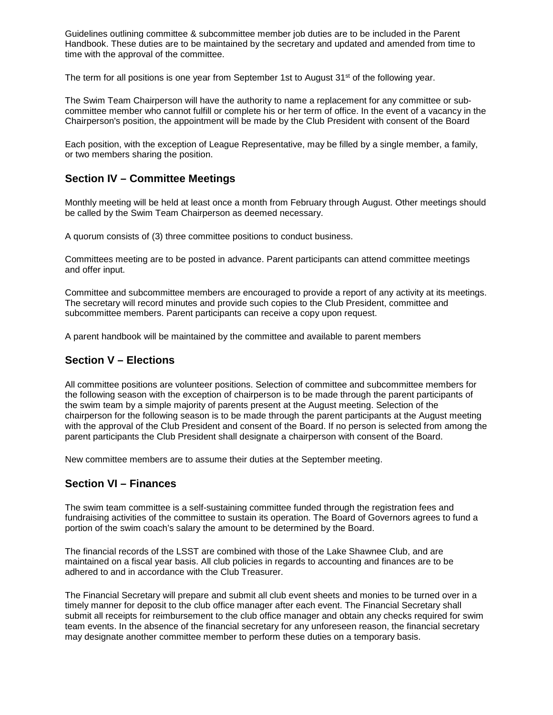Guidelines outlining committee & subcommittee member job duties are to be included in the Parent Handbook. These duties are to be maintained by the secretary and updated and amended from time to time with the approval of the committee.

The term for all positions is one year from September 1st to August 31<sup>st</sup> of the following year.

The Swim Team Chairperson will have the authority to name a replacement for any committee or subcommittee member who cannot fulfill or complete his or her term of office. In the event of a vacancy in the Chairperson's position, the appointment will be made by the Club President with consent of the Board

Each position, with the exception of League Representative, may be filled by a single member, a family, or two members sharing the position.

## **Section IV – Committee Meetings**

Monthly meeting will be held at least once a month from February through August. Other meetings should be called by the Swim Team Chairperson as deemed necessary.

A quorum consists of (3) three committee positions to conduct business.

Committees meeting are to be posted in advance. Parent participants can attend committee meetings and offer input.

Committee and subcommittee members are encouraged to provide a report of any activity at its meetings. The secretary will record minutes and provide such copies to the Club President, committee and subcommittee members. Parent participants can receive a copy upon request.

A parent handbook will be maintained by the committee and available to parent members

#### **Section V – Elections**

All committee positions are volunteer positions. Selection of committee and subcommittee members for the following season with the exception of chairperson is to be made through the parent participants of the swim team by a simple majority of parents present at the August meeting. Selection of the chairperson for the following season is to be made through the parent participants at the August meeting with the approval of the Club President and consent of the Board. If no person is selected from among the parent participants the Club President shall designate a chairperson with consent of the Board.

New committee members are to assume their duties at the September meeting.

#### **Section VI – Finances**

The swim team committee is a self-sustaining committee funded through the registration fees and fundraising activities of the committee to sustain its operation. The Board of Governors agrees to fund a portion of the swim coach's salary the amount to be determined by the Board.

The financial records of the LSST are combined with those of the Lake Shawnee Club, and are maintained on a fiscal year basis. All club policies in regards to accounting and finances are to be adhered to and in accordance with the Club Treasurer.

The Financial Secretary will prepare and submit all club event sheets and monies to be turned over in a timely manner for deposit to the club office manager after each event. The Financial Secretary shall submit all receipts for reimbursement to the club office manager and obtain any checks required for swim team events. In the absence of the financial secretary for any unforeseen reason, the financial secretary may designate another committee member to perform these duties on a temporary basis.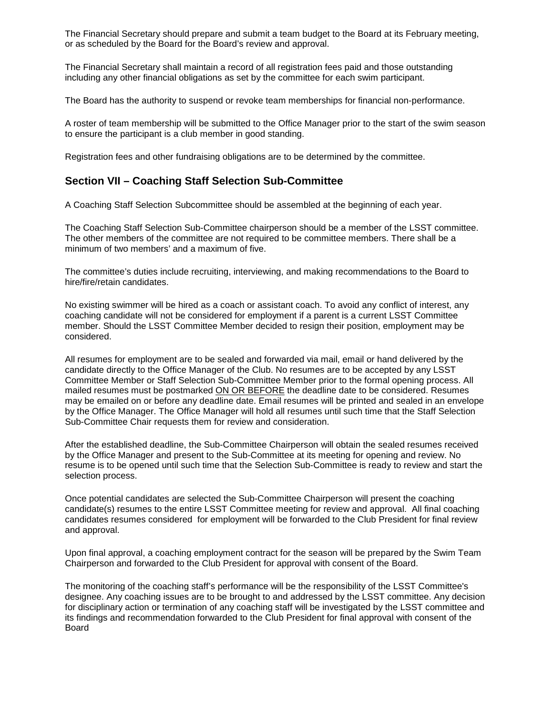The Financial Secretary should prepare and submit a team budget to the Board at its February meeting, or as scheduled by the Board for the Board's review and approval.

The Financial Secretary shall maintain a record of all registration fees paid and those outstanding including any other financial obligations as set by the committee for each swim participant.

The Board has the authority to suspend or revoke team memberships for financial non-performance.

A roster of team membership will be submitted to the Office Manager prior to the start of the swim season to ensure the participant is a club member in good standing.

Registration fees and other fundraising obligations are to be determined by the committee.

### **Section VII – Coaching Staff Selection Sub-Committee**

A Coaching Staff Selection Subcommittee should be assembled at the beginning of each year.

The Coaching Staff Selection Sub-Committee chairperson should be a member of the LSST committee. The other members of the committee are not required to be committee members. There shall be a minimum of two members' and a maximum of five.

The committee's duties include recruiting, interviewing, and making recommendations to the Board to hire/fire/retain candidates.

No existing swimmer will be hired as a coach or assistant coach. To avoid any conflict of interest, any coaching candidate will not be considered for employment if a parent is a current LSST Committee member. Should the LSST Committee Member decided to resign their position, employment may be considered.

All resumes for employment are to be sealed and forwarded via mail, email or hand delivered by the candidate directly to the Office Manager of the Club. No resumes are to be accepted by any LSST Committee Member or Staff Selection Sub-Committee Member prior to the formal opening process. All mailed resumes must be postmarked ON OR BEFORE the deadline date to be considered. Resumes may be emailed on or before any deadline date. Email resumes will be printed and sealed in an envelope by the Office Manager. The Office Manager will hold all resumes until such time that the Staff Selection Sub-Committee Chair requests them for review and consideration.

After the established deadline, the Sub-Committee Chairperson will obtain the sealed resumes received by the Office Manager and present to the Sub-Committee at its meeting for opening and review. No resume is to be opened until such time that the Selection Sub-Committee is ready to review and start the selection process.

Once potential candidates are selected the Sub-Committee Chairperson will present the coaching candidate(s) resumes to the entire LSST Committee meeting for review and approval. All final coaching candidates resumes considered for employment will be forwarded to the Club President for final review and approval.

Upon final approval, a coaching employment contract for the season will be prepared by the Swim Team Chairperson and forwarded to the Club President for approval with consent of the Board.

The monitoring of the coaching staff's performance will be the responsibility of the LSST Committee's designee. Any coaching issues are to be brought to and addressed by the LSST committee. Any decision for disciplinary action or termination of any coaching staff will be investigated by the LSST committee and its findings and recommendation forwarded to the Club President for final approval with consent of the Board